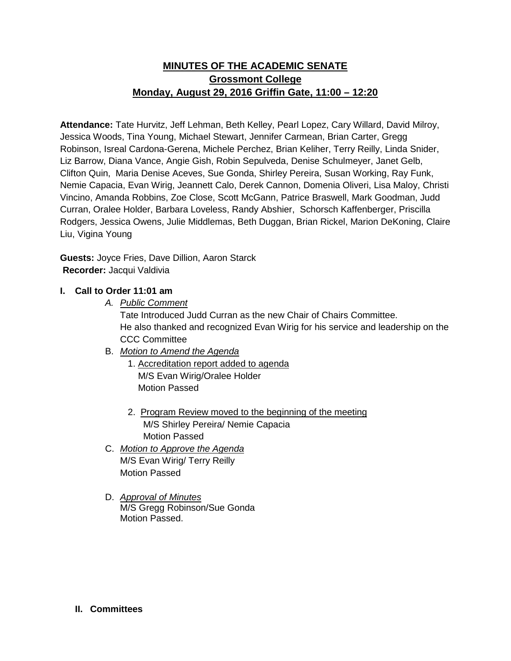## **MINUTES OF THE ACADEMIC SENATE Grossmont College Monday, August 29, 2016 Griffin Gate, 11:00 – 12:20**

**Attendance:** Tate Hurvitz, Jeff Lehman, Beth Kelley, Pearl Lopez, Cary Willard, David Milroy, Jessica Woods, Tina Young, Michael Stewart, Jennifer Carmean, Brian Carter, Gregg Robinson, Isreal Cardona-Gerena, Michele Perchez, Brian Keliher, Terry Reilly, Linda Snider, Liz Barrow, Diana Vance, Angie Gish, Robin Sepulveda, Denise Schulmeyer, Janet Gelb, Clifton Quin, Maria Denise Aceves, Sue Gonda, Shirley Pereira, Susan Working, Ray Funk, Nemie Capacia, Evan Wirig, Jeannett Calo, Derek Cannon, Domenia Oliveri, Lisa Maloy, Christi Vincino, Amanda Robbins, Zoe Close, Scott McGann, Patrice Braswell, Mark Goodman, Judd Curran, Oralee Holder, Barbara Loveless, Randy Abshier, Schorsch Kaffenberger, Priscilla Rodgers, Jessica Owens, Julie Middlemas, Beth Duggan, Brian Rickel, Marion DeKoning, Claire Liu, Vigina Young

**Guests:** Joyce Fries, Dave Dillion, Aaron Starck **Recorder:** Jacqui Valdivia

## **I. Call to Order 11:01 am**

*A. Public Comment* 

Tate Introduced Judd Curran as the new Chair of Chairs Committee. He also thanked and recognized Evan Wirig for his service and leadership on the CCC Committee

- B. *Motion to Amend the Agenda*
	- 1. Accreditation report added to agenda M/S Evan Wirig/Oralee Holder Motion Passed
	- 2. Program Review moved to the beginning of the meeting M/S Shirley Pereira/ Nemie Capacia Motion Passed
- C. *Motion to Approve the Agenda* M/S Evan Wirig/ Terry Reilly Motion Passed
- D. *Approval of Minutes* M/S Gregg Robinson/Sue Gonda Motion Passed.

## **II. Committees**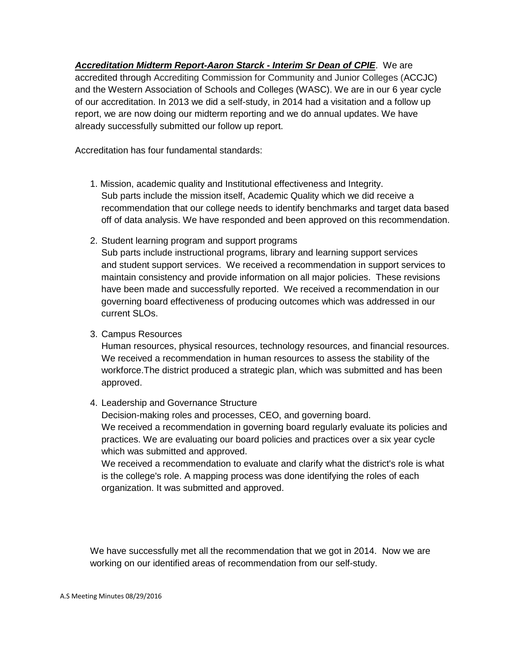*Accreditation Midterm Report-Aaron Starck - Interim Sr Dean of CPIE*. We are accredited through Accrediting Commission for Community and Junior Colleges (ACCJC) and the Western Association of Schools and Colleges (WASC). We are in our 6 year cycle of our accreditation. In 2013 we did a self-study, in 2014 had a visitation and a follow up report, we are now doing our midterm reporting and we do annual updates. We have already successfully submitted our follow up report.

Accreditation has four fundamental standards:

- 1. Mission, academic quality and Institutional effectiveness and Integrity. Sub parts include the mission itself, Academic Quality which we did receive a recommendation that our college needs to identify benchmarks and target data based off of data analysis. We have responded and been approved on this recommendation.
- 2. Student learning program and support programs Sub parts include instructional programs, library and learning support services and student support services. We received a recommendation in support services to maintain consistency and provide information on all major policies. These revisions have been made and successfully reported. We received a recommendation in our governing board effectiveness of producing outcomes which was addressed in our current SLOs.
- 3. Campus Resources

Human resources, physical resources, technology resources, and financial resources. We received a recommendation in human resources to assess the stability of the workforce.The district produced a strategic plan, which was submitted and has been approved.

4. Leadership and Governance Structure

Decision-making roles and processes, CEO, and governing board. We received a recommendation in governing board regularly evaluate its policies and practices. We are evaluating our board policies and practices over a six year cycle which was submitted and approved.

We received a recommendation to evaluate and clarify what the district's role is what is the college's role. A mapping process was done identifying the roles of each organization. It was submitted and approved.

We have successfully met all the recommendation that we got in 2014. Now we are working on our identified areas of recommendation from our self-study.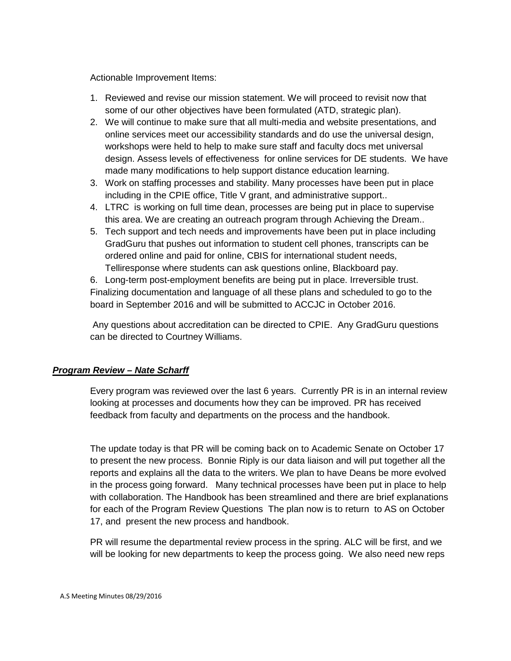Actionable Improvement Items:

- 1. Reviewed and revise our mission statement. We will proceed to revisit now that some of our other objectives have been formulated (ATD, strategic plan).
- 2. We will continue to make sure that all multi-media and website presentations, and online services meet our accessibility standards and do use the universal design, workshops were held to help to make sure staff and faculty docs met universal design. Assess levels of effectiveness for online services for DE students. We have made many modifications to help support distance education learning.
- 3. Work on staffing processes and stability. Many processes have been put in place including in the CPIE office, Title V grant, and administrative support..
- 4. LTRC is working on full time dean, processes are being put in place to supervise this area. We are creating an outreach program through Achieving the Dream..
- 5. Tech support and tech needs and improvements have been put in place including GradGuru that pushes out information to student cell phones, transcripts can be ordered online and paid for online, CBIS for international student needs, Telliresponse where students can ask questions online, Blackboard pay.

6. Long-term post-employment benefits are being put in place. Irreversible trust. Finalizing documentation and language of all these plans and scheduled to go to the board in September 2016 and will be submitted to ACCJC in October 2016.

Any questions about accreditation can be directed to CPIE. Any GradGuru questions can be directed to Courtney Williams.

## *Program Review – Nate Scharff*

Every program was reviewed over the last 6 years. Currently PR is in an internal review looking at processes and documents how they can be improved. PR has received feedback from faculty and departments on the process and the handbook.

The update today is that PR will be coming back on to Academic Senate on October 17 to present the new process. Bonnie Riply is our data liaison and will put together all the reports and explains all the data to the writers. We plan to have Deans be more evolved in the process going forward. Many technical processes have been put in place to help with collaboration. The Handbook has been streamlined and there are brief explanations for each of the Program Review Questions The plan now is to return to AS on October 17, and present the new process and handbook.

PR will resume the departmental review process in the spring. ALC will be first, and we will be looking for new departments to keep the process going. We also need new reps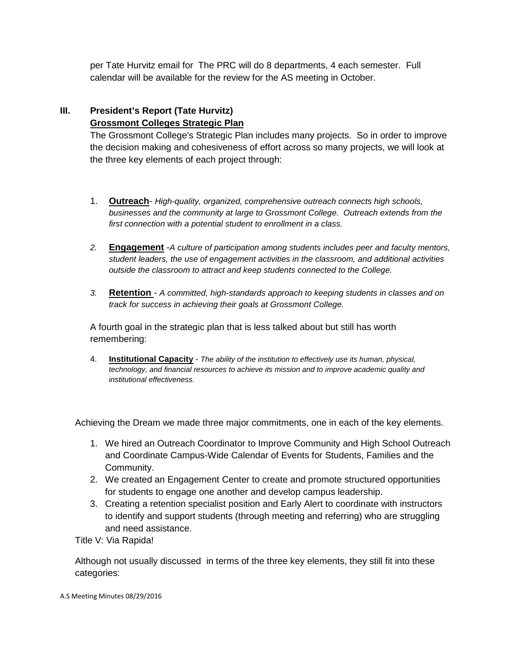per Tate Hurvitz email for The PRC will do 8 departments, 4 each semester. Full calendar will be available for the review for the AS meeting in October.

# **III. President's Report (Tate Hurvitz)**

## **Grossmont Colleges Strategic Plan**

The Grossmont College's Strategic Plan includes many projects. So in order to improve the decision making and cohesiveness of effort across so many projects, we will look at the three key elements of each project through:

- 1. **Outreach** *High-quality, organized, comprehensive outreach connects high schools, businesses and the community at large to Grossmont College. Outreach extends from the first connection with a potential student to enrollment in a class.*
- *2.* **Engagement** -*A culture of participation among students includes peer and faculty mentors, student leaders, the use of engagement activities in the classroom, and additional activities outside the classroom to attract and keep students connected to the College.*
- *3.* **Retention**  *A committed, high-standards approach to keeping students in classes and on track for success in achieving their goals at Grossmont College.*

A fourth goal in the strategic plan that is less talked about but still has worth remembering:

4. **Institutional Capacity** - *The ability of the institution to effectively use its human, physical, technology, and financial resources to achieve its mission and to improve academic quality and institutional effectiveness.*

Achieving the Dream we made three major commitments, one in each of the key elements.

- 1. We hired an Outreach Coordinator to Improve Community and High School Outreach and Coordinate Campus-Wide Calendar of Events for Students, Families and the Community.
- 2. We created an Engagement Center to create and promote structured opportunities for students to engage one another and develop campus leadership.
- 3. Creating a retention specialist position and Early Alert to coordinate with instructors to identify and support students (through meeting and referring) who are struggling and need assistance.

Title V: Via Rapida!

Although not usually discussed in terms of the three key elements, they still fit into these categories: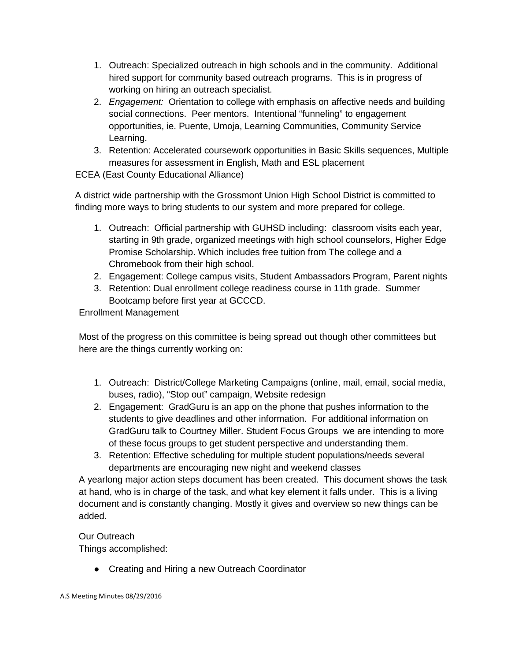- 1. Outreach: Specialized outreach in high schools and in the community. Additional hired support for community based outreach programs. This is in progress of working on hiring an outreach specialist.
- 2. *Engagement:* Orientation to college with emphasis on affective needs and building social connections. Peer mentors. Intentional "funneling" to engagement opportunities, ie. Puente, Umoja, Learning Communities, Community Service Learning.
- 3. Retention: Accelerated coursework opportunities in Basic Skills sequences, Multiple measures for assessment in English, Math and ESL placement

ECEA (East County Educational Alliance)

A district wide partnership with the Grossmont Union High School District is committed to finding more ways to bring students to our system and more prepared for college.

- 1. Outreach: Official partnership with GUHSD including: classroom visits each year, starting in 9th grade, organized meetings with high school counselors, Higher Edge Promise Scholarship. Which includes free tuition from The college and a Chromebook from their high school.
- 2. Engagement: College campus visits, Student Ambassadors Program, Parent nights
- 3. Retention: Dual enrollment college readiness course in 11th grade. Summer Bootcamp before first year at GCCCD.

Enrollment Management

Most of the progress on this committee is being spread out though other committees but here are the things currently working on:

- 1. Outreach: District/College Marketing Campaigns (online, mail, email, social media, buses, radio), "Stop out" campaign, Website redesign
- 2. Engagement: GradGuru is an app on the phone that pushes information to the students to give deadlines and other information. For additional information on GradGuru talk to Courtney Miller. Student Focus Groups we are intending to more of these focus groups to get student perspective and understanding them.
- 3. Retention: Effective scheduling for multiple student populations/needs several departments are encouraging new night and weekend classes

A yearlong major action steps document has been created. This document shows the task at hand, who is in charge of the task, and what key element it falls under. This is a living document and is constantly changing. Mostly it gives and overview so new things can be added.

## Our Outreach Things accomplished:

● Creating and Hiring a new Outreach Coordinator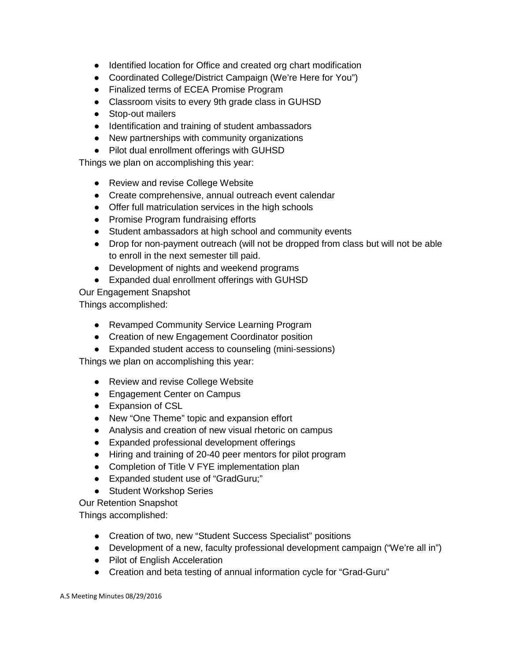- Identified location for Office and created org chart modification
- Coordinated College/District Campaign (We're Here for You")
- Finalized terms of ECEA Promise Program
- Classroom visits to every 9th grade class in GUHSD
- Stop-out mailers
- Identification and training of student ambassadors
- New partnerships with community organizations
- Pilot dual enrollment offerings with GUHSD

Things we plan on accomplishing this year:

- Review and revise College Website
- Create comprehensive, annual outreach event calendar
- Offer full matriculation services in the high schools
- Promise Program fundraising efforts
- Student ambassadors at high school and community events
- Drop for non-payment outreach (will not be dropped from class but will not be able to enroll in the next semester till paid.
- Development of nights and weekend programs
- Expanded dual enrollment offerings with GUHSD

Our Engagement Snapshot

Things accomplished:

- Revamped Community Service Learning Program
- Creation of new Engagement Coordinator position
- Expanded student access to counseling (mini-sessions)

Things we plan on accomplishing this year:

- Review and revise College Website
- Engagement Center on Campus
- Expansion of CSL
- New "One Theme" topic and expansion effort
- Analysis and creation of new visual rhetoric on campus
- Expanded professional development offerings
- Hiring and training of 20-40 peer mentors for pilot program
- Completion of Title V FYE implementation plan
- Expanded student use of "GradGuru;"
- Student Workshop Series

Our Retention Snapshot

Things accomplished:

- Creation of two, new "Student Success Specialist" positions
- Development of a new, faculty professional development campaign ("We're all in")
- Pilot of English Acceleration
- Creation and beta testing of annual information cycle for "Grad-Guru"

A.S Meeting Minutes 08/29/2016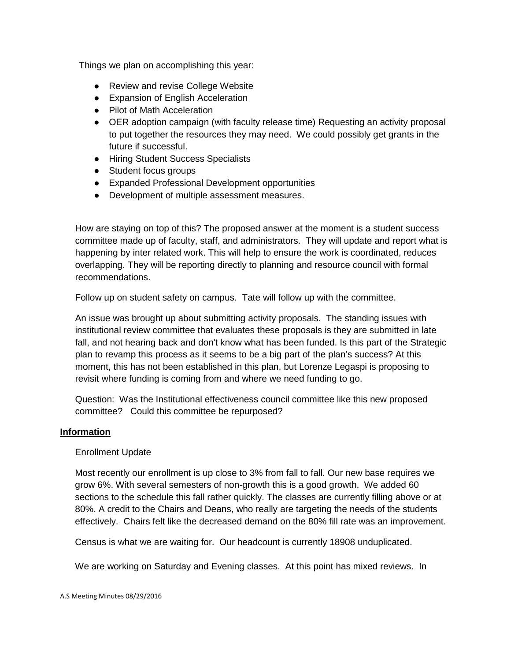Things we plan on accomplishing this year:

- Review and revise College Website
- Expansion of English Acceleration
- Pilot of Math Acceleration
- OER adoption campaign (with faculty release time) Requesting an activity proposal to put together the resources they may need. We could possibly get grants in the future if successful.
- Hiring Student Success Specialists
- Student focus groups
- Expanded Professional Development opportunities
- Development of multiple assessment measures.

How are staying on top of this? The proposed answer at the moment is a student success committee made up of faculty, staff, and administrators. They will update and report what is happening by inter related work. This will help to ensure the work is coordinated, reduces overlapping. They will be reporting directly to planning and resource council with formal recommendations.

Follow up on student safety on campus. Tate will follow up with the committee.

An issue was brought up about submitting activity proposals. The standing issues with institutional review committee that evaluates these proposals is they are submitted in late fall, and not hearing back and don't know what has been funded. Is this part of the Strategic plan to revamp this process as it seems to be a big part of the plan's success? At this moment, this has not been established in this plan, but Lorenze Legaspi is proposing to revisit where funding is coming from and where we need funding to go.

Question: Was the Institutional effectiveness council committee like this new proposed committee? Could this committee be repurposed?

## **Information**

## Enrollment Update

Most recently our enrollment is up close to 3% from fall to fall. Our new base requires we grow 6%. With several semesters of non-growth this is a good growth. We added 60 sections to the schedule this fall rather quickly. The classes are currently filling above or at 80%. A credit to the Chairs and Deans, who really are targeting the needs of the students effectively. Chairs felt like the decreased demand on the 80% fill rate was an improvement.

Census is what we are waiting for. Our headcount is currently 18908 unduplicated.

We are working on Saturday and Evening classes. At this point has mixed reviews. In